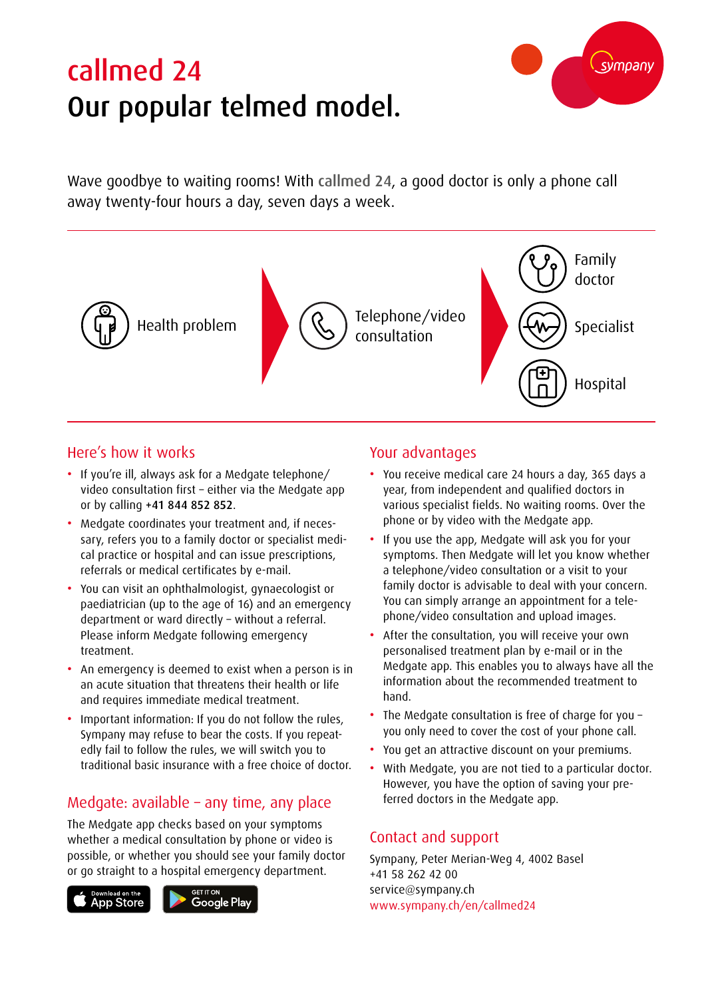# callmed 24 Our popular telmed model.



Wave goodbye to waiting rooms! With callmed 24, a good doctor is only a phone call away twenty-four hours a day, seven days a week.



# Here's how it works

- If you're ill, always ask for a Medgate telephone/ video consultation first – either via the Medgate app or by calling +41 844 852 852.
- Medgate coordinates your treatment and, if necessary, refers you to a family doctor or specialist medical practice or hospital and can issue prescriptions, referrals or medical certificates by e-mail.
- You can visit an ophthalmologist, gynaecologist or paediatrician (up to the age of 16) and an emergency department or ward directly – without a referral. Please inform Medgate following emergency treatment.
- An emergency is deemed to exist when a person is in an acute situation that threatens their health or life and requires immediate medical treatment.
- Important information: If you do not follow the rules, Sympany may refuse to bear the costs. If you repeatedly fail to follow the rules, we will switch you to traditional basic insurance with a free choice of doctor.

# Medgate: available – any time, any place

The Medgate app checks based on your symptoms whether a medical consultation by phone or video is possible, or whether you should see your family doctor or go straight to a hospital emergency department.



#### Your advantages

- You receive medical care 24 hours a day, 365 days a year, from independent and qualified doctors in various specialist fields. No waiting rooms. Over the phone or by video with the Medgate app.
- If you use the app, Medgate will ask you for your symptoms. Then Medgate will let you know whether a telephone/video consultation or a visit to your family doctor is advisable to deal with your concern. You can simply arrange an appointment for a telephone/video consultation and upload images.
- After the consultation, you will receive your own personalised treatment plan by e-mail or in the Medgate app. This enables you to always have all the information about the recommended treatment to hand.
- The Medgate consultation is free of charge for you you only need to cover the cost of your phone call.
- You get an attractive discount on your premiums.
- With Medgate, you are not tied to a particular doctor. However, you have the option of saving your preferred doctors in the Medgate app.

# Contact and support

Sympany, Peter Merian-Weg 4, 4002 Basel +41 58 262 42 00 service@sympany.ch www.sympany.ch/en/callmed24